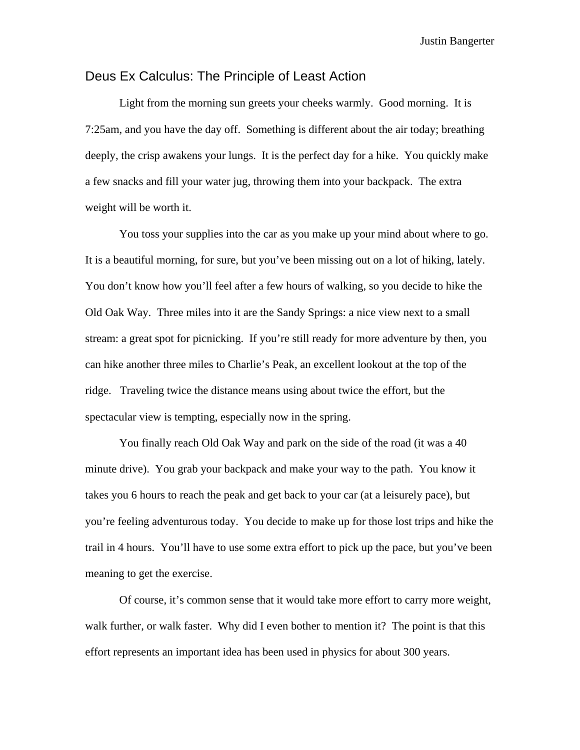# Deus Ex Calculus: The Principle of Least Action

 Light from the morning sun greets your cheeks warmly. Good morning. It is 7:25am, and you have the day off. Something is different about the air today; breathing deeply, the crisp awakens your lungs. It is the perfect day for a hike. You quickly make a few snacks and fill your water jug, throwing them into your backpack. The extra weight will be worth it.

 You toss your supplies into the car as you make up your mind about where to go. It is a beautiful morning, for sure, but you've been missing out on a lot of hiking, lately. You don't know how you'll feel after a few hours of walking, so you decide to hike the Old Oak Way. Three miles into it are the Sandy Springs: a nice view next to a small stream: a great spot for picnicking. If you're still ready for more adventure by then, you can hike another three miles to Charlie's Peak, an excellent lookout at the top of the ridge. Traveling twice the distance means using about twice the effort, but the spectacular view is tempting, especially now in the spring.

 You finally reach Old Oak Way and park on the side of the road (it was a 40 minute drive). You grab your backpack and make your way to the path. You know it takes you 6 hours to reach the peak and get back to your car (at a leisurely pace), but you're feeling adventurous today. You decide to make up for those lost trips and hike the trail in 4 hours. You'll have to use some extra effort to pick up the pace, but you've been meaning to get the exercise.

 Of course, it's common sense that it would take more effort to carry more weight, walk further, or walk faster. Why did I even bother to mention it? The point is that this effort represents an important idea has been used in physics for about 300 years.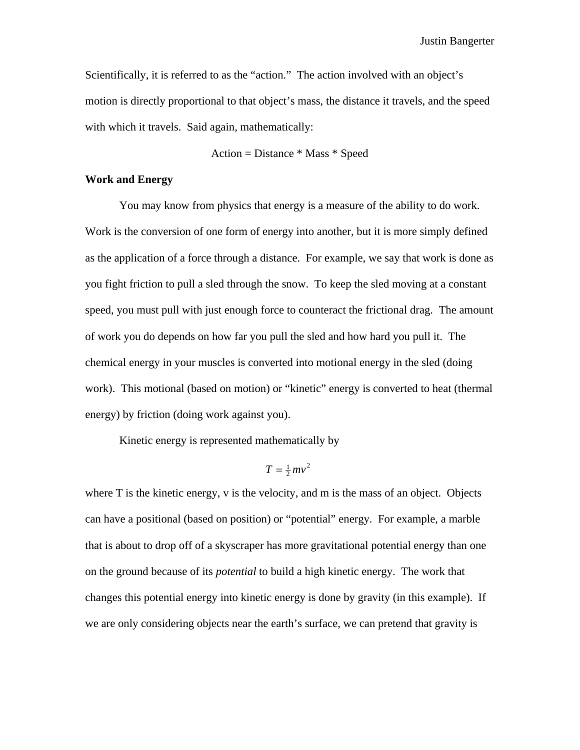Scientifically, it is referred to as the "action." The action involved with an object's motion is directly proportional to that object's mass, the distance it travels, and the speed with which it travels. Said again, mathematically:

Action = Distance \* Mass \* Speed

## **Work and Energy**

 You may know from physics that energy is a measure of the ability to do work. Work is the conversion of one form of energy into another, but it is more simply defined as the application of a force through a distance. For example, we say that work is done as you fight friction to pull a sled through the snow. To keep the sled moving at a constant speed, you must pull with just enough force to counteract the frictional drag. The amount of work you do depends on how far you pull the sled and how hard you pull it. The chemical energy in your muscles is converted into motional energy in the sled (doing work). This motional (based on motion) or "kinetic" energy is converted to heat (thermal energy) by friction (doing work against you).

Kinetic energy is represented mathematically by

 $T = \frac{1}{2} m v^2$ 

where T is the kinetic energy, v is the velocity, and m is the mass of an object. Objects can have a positional (based on position) or "potential" energy. For example, a marble that is about to drop off of a skyscraper has more gravitational potential energy than one on the ground because of its *potential* to build a high kinetic energy. The work that changes this potential energy into kinetic energy is done by gravity (in this example). If we are only considering objects near the earth's surface, we can pretend that gravity is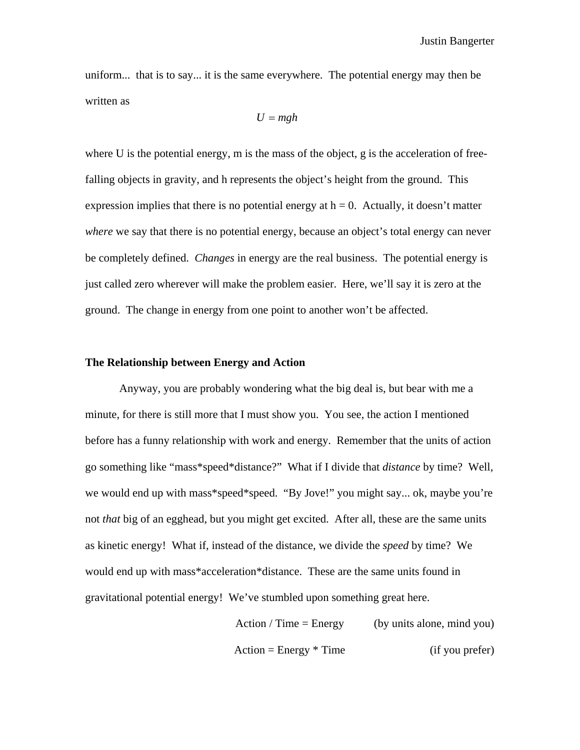uniform... that is to say... it is the same everywhere. The potential energy may then be written as

$$
U = mgh
$$

where U is the potential energy, m is the mass of the object, g is the acceleration of freefalling objects in gravity, and h represents the object's height from the ground. This expression implies that there is no potential energy at  $h = 0$ . Actually, it doesn't matter *where* we say that there is no potential energy, because an object's total energy can never be completely defined. *Changes* in energy are the real business. The potential energy is just called zero wherever will make the problem easier. Here, we'll say it is zero at the ground. The change in energy from one point to another won't be affected.

#### **The Relationship between Energy and Action**

 Anyway, you are probably wondering what the big deal is, but bear with me a minute, for there is still more that I must show you. You see, the action I mentioned before has a funny relationship with work and energy. Remember that the units of action go something like "mass\*speed\*distance?" What if I divide that *distance* by time? Well, we would end up with mass\*speed\*speed. "By Jove!" you might say... ok, maybe you're not *that* big of an egghead, but you might get excited. After all, these are the same units as kinetic energy! What if, instead of the distance, we divide the *speed* by time? We would end up with mass\*acceleration\*distance. These are the same units found in gravitational potential energy! We've stumbled upon something great here.

> Action / Time = Energy (by units alone, mind you)  $Action = Energy * Time$  (if you prefer)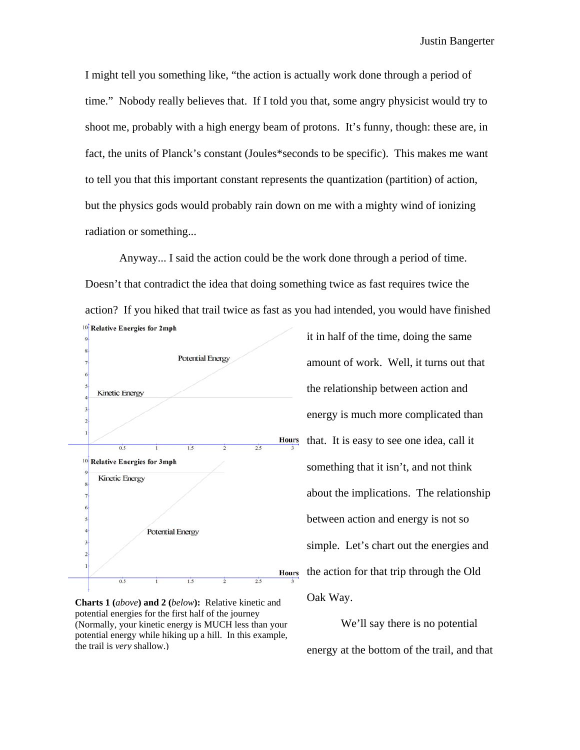I might tell you something like, "the action is actually work done through a period of time." Nobody really believes that. If I told you that, some angry physicist would try to shoot me, probably with a high energy beam of protons. It's funny, though: these are, in fact, the units of Planck's constant (Joules\*seconds to be specific). This makes me want to tell you that this important constant represents the quantization (partition) of action, but the physics gods would probably rain down on me with a mighty wind of ionizing radiation or something...

 Anyway... I said the action could be the work done through a period of time. Doesn't that contradict the idea that doing something twice as fast requires twice the action? If you hiked that trail twice as fast as you had intended, you would have finished <sup>10</sup> Relative Energies for 2mph



**Charts 1 (***above***) and 2 (***below***):** Relative kinetic and potential energies for the first half of the journey (Normally, your kinetic energy is MUCH less than your potential energy while hiking up a hill. In this example, the trail is *very* shallow.)

it in half of the time, doing the same amount of work. Well, it turns out that the relationship between action and energy is much more complicated than that. It is easy to see one idea, call it something that it isn't, and not think about the implications. The relationship between action and energy is not so simple. Let's chart out the energies and the action for that trip through the Old Oak Way.

 We'll say there is no potential energy at the bottom of the trail, and that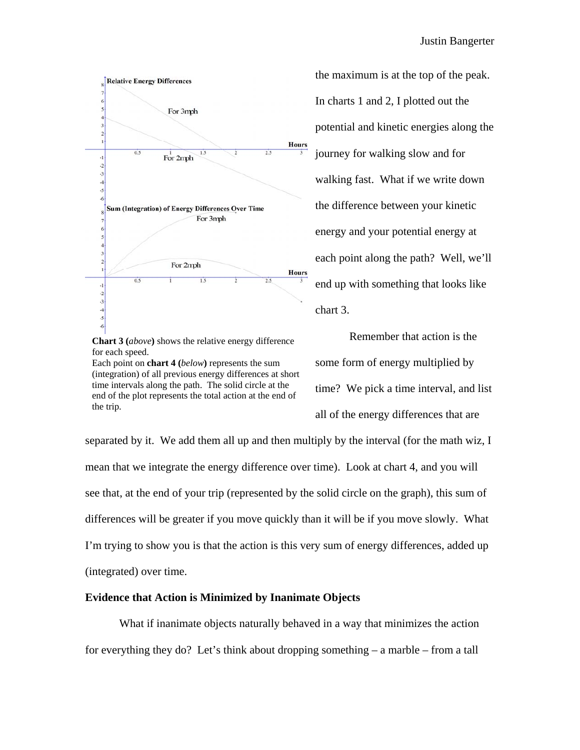

**Chart 3 (***above***)** shows the relative energy difference for each speed.

Each point on **chart 4 (***below***)** represents the sum (integration) of all previous energy differences at short time intervals along the path. The solid circle at the end of the plot represents the total action at the end of the trip.

the maximum is at the top of the peak. In charts 1 and 2, I plotted out the potential and kinetic energies along the journey for walking slow and for walking fast. What if we write down the difference between your kinetic energy and your potential energy at each point along the path? Well, we'll end up with something that looks like chart 3.

 Remember that action is the some form of energy multiplied by time? We pick a time interval, and list all of the energy differences that are

separated by it. We add them all up and then multiply by the interval (for the math wiz, I mean that we integrate the energy difference over time). Look at chart 4, and you will see that, at the end of your trip (represented by the solid circle on the graph), this sum of differences will be greater if you move quickly than it will be if you move slowly. What I'm trying to show you is that the action is this very sum of energy differences, added up (integrated) over time.

## **Evidence that Action is Minimized by Inanimate Objects**

 What if inanimate objects naturally behaved in a way that minimizes the action for everything they do? Let's think about dropping something – a marble – from a tall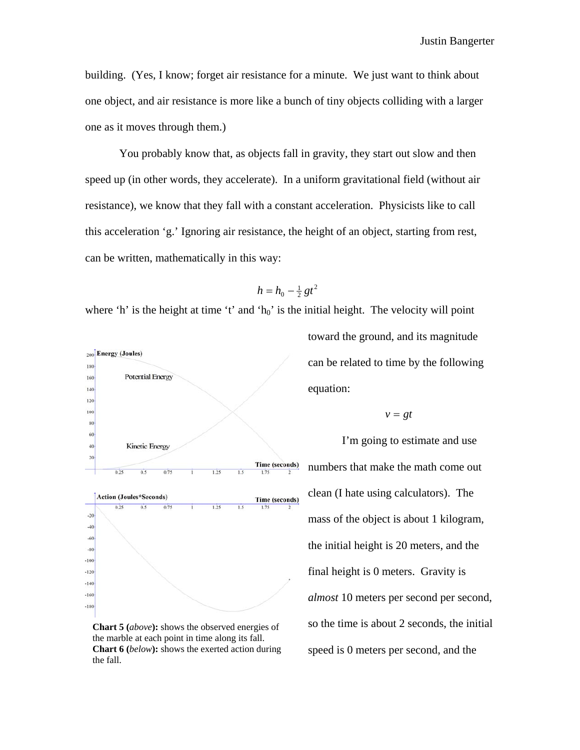building. (Yes, I know; forget air resistance for a minute. We just want to think about one object, and air resistance is more like a bunch of tiny objects colliding with a larger one as it moves through them.)

 You probably know that, as objects fall in gravity, they start out slow and then speed up (in other words, they accelerate). In a uniform gravitational field (without air resistance), we know that they fall with a constant acceleration. Physicists like to call this acceleration 'g.' Ignoring air resistance, the height of an object, starting from rest, can be written, mathematically in this way:

$$
h=h_0-\tfrac{1}{2}gt^2
$$

where 'h' is the height at time 't' and ' $h_0$ ' is the initial height. The velocity will point



**Chart 5 (***above***):** shows the observed energies of the marble at each point in time along its fall. **Chart 6 (***below***):** shows the exerted action during the fall.

toward the ground, and its magnitude can be related to time by the following equation:

$$
v = gt
$$

 I'm going to estimate and use numbers that make the math come out clean (I hate using calculators). The mass of the object is about 1 kilogram, the initial height is 20 meters, and the final height is 0 meters. Gravity is *almost* 10 meters per second per second, so the time is about 2 seconds, the initial speed is 0 meters per second, and the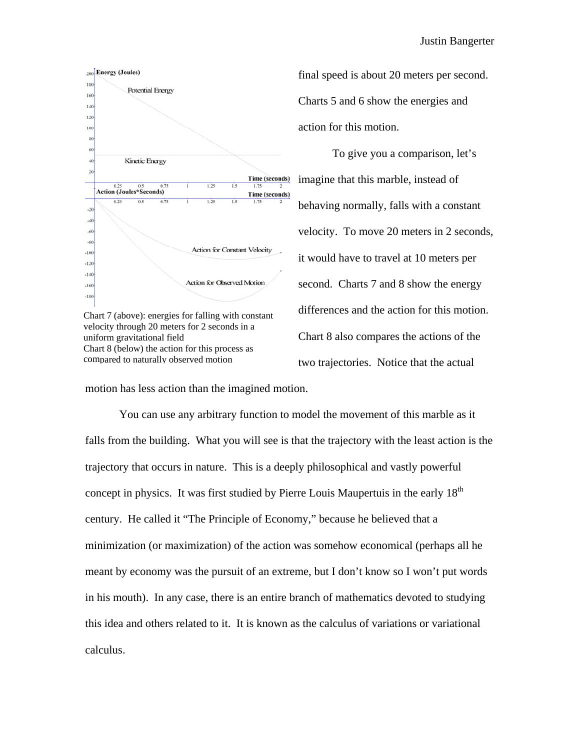

Chart 7 (above): energies for falling with constant velocity through 20 meters for 2 seconds in a uniform gravitational field Chart 8 (below) the action for this process as compared to naturally observed motion

final speed is about 20 meters per second. Charts 5 and 6 show the energies and action for this motion.

 To give you a comparison, let's imagine that this marble, instead of behaving normally, falls with a constant velocity. To move 20 meters in 2 seconds, it would have to travel at 10 meters per second. Charts 7 and 8 show the energy differences and the action for this motion. Chart 8 also compares the actions of the two trajectories. Notice that the actual

motion has less action than the imagined motion.

 You can use any arbitrary function to model the movement of this marble as it falls from the building. What you will see is that the trajectory with the least action is the trajectory that occurs in nature. This is a deeply philosophical and vastly powerful concept in physics. It was first studied by Pierre Louis Maupertuis in the early  $18<sup>th</sup>$ century. He called it "The Principle of Economy," because he believed that a minimization (or maximization) of the action was somehow economical (perhaps all he meant by economy was the pursuit of an extreme, but I don't know so I won't put words in his mouth). In any case, there is an entire branch of mathematics devoted to studying this idea and others related to it. It is known as the calculus of variations or variational calculus.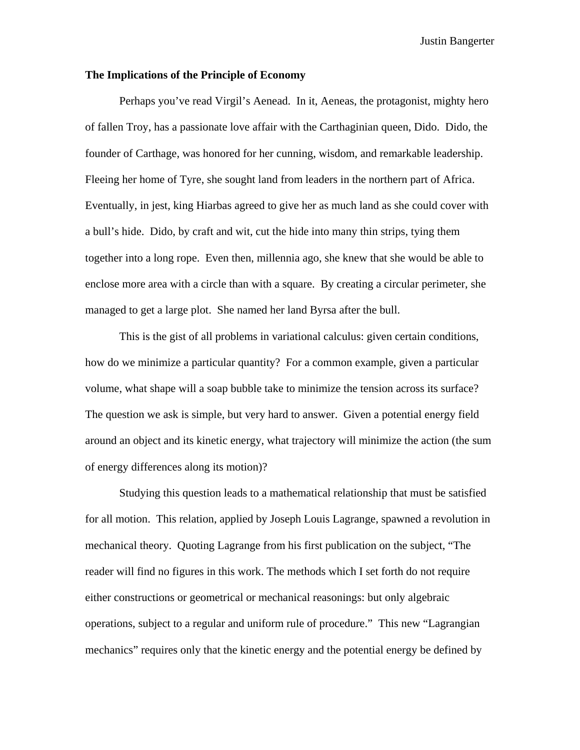#### **The Implications of the Principle of Economy**

 Perhaps you've read Virgil's Aenead. In it, Aeneas, the protagonist, mighty hero of fallen Troy, has a passionate love affair with the Carthaginian queen, Dido. Dido, the founder of Carthage, was honored for her cunning, wisdom, and remarkable leadership. Fleeing her home of Tyre, she sought land from leaders in the northern part of Africa. Eventually, in jest, king Hiarbas agreed to give her as much land as she could cover with a bull's hide. Dido, by craft and wit, cut the hide into many thin strips, tying them together into a long rope. Even then, millennia ago, she knew that she would be able to enclose more area with a circle than with a square. By creating a circular perimeter, she managed to get a large plot. She named her land Byrsa after the bull.

 This is the gist of all problems in variational calculus: given certain conditions, how do we minimize a particular quantity? For a common example, given a particular volume, what shape will a soap bubble take to minimize the tension across its surface? The question we ask is simple, but very hard to answer. Given a potential energy field around an object and its kinetic energy, what trajectory will minimize the action (the sum of energy differences along its motion)?

 Studying this question leads to a mathematical relationship that must be satisfied for all motion. This relation, applied by Joseph Louis Lagrange, spawned a revolution in mechanical theory. Quoting Lagrange from his first publication on the subject, "The reader will find no figures in this work. The methods which I set forth do not require either constructions or geometrical or mechanical reasonings: but only algebraic operations, subject to a regular and uniform rule of procedure." This new "Lagrangian mechanics" requires only that the kinetic energy and the potential energy be defined by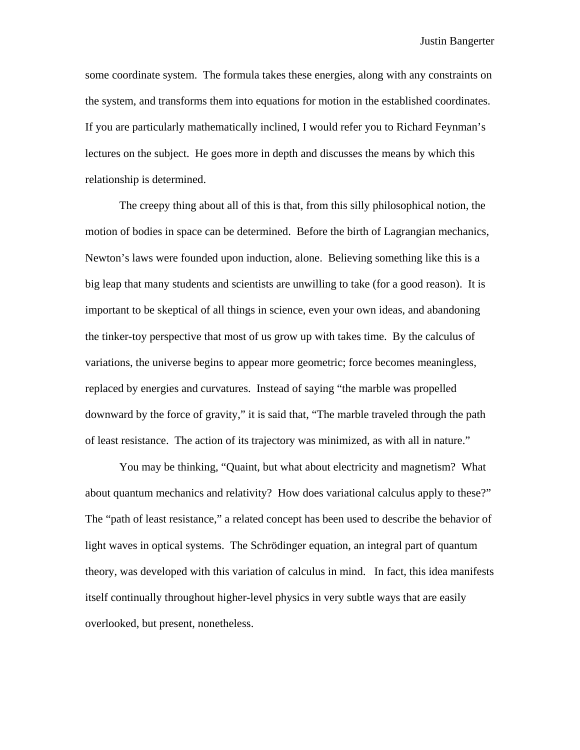some coordinate system. The formula takes these energies, along with any constraints on the system, and transforms them into equations for motion in the established coordinates. If you are particularly mathematically inclined, I would refer you to Richard Feynman's lectures on the subject. He goes more in depth and discusses the means by which this relationship is determined.

 The creepy thing about all of this is that, from this silly philosophical notion, the motion of bodies in space can be determined. Before the birth of Lagrangian mechanics, Newton's laws were founded upon induction, alone. Believing something like this is a big leap that many students and scientists are unwilling to take (for a good reason). It is important to be skeptical of all things in science, even your own ideas, and abandoning the tinker-toy perspective that most of us grow up with takes time. By the calculus of variations, the universe begins to appear more geometric; force becomes meaningless, replaced by energies and curvatures. Instead of saying "the marble was propelled downward by the force of gravity," it is said that, "The marble traveled through the path of least resistance. The action of its trajectory was minimized, as with all in nature."

 You may be thinking, "Quaint, but what about electricity and magnetism? What about quantum mechanics and relativity? How does variational calculus apply to these?" The "path of least resistance," a related concept has been used to describe the behavior of light waves in optical systems. The Schrödinger equation, an integral part of quantum theory, was developed with this variation of calculus in mind. In fact, this idea manifests itself continually throughout higher-level physics in very subtle ways that are easily overlooked, but present, nonetheless.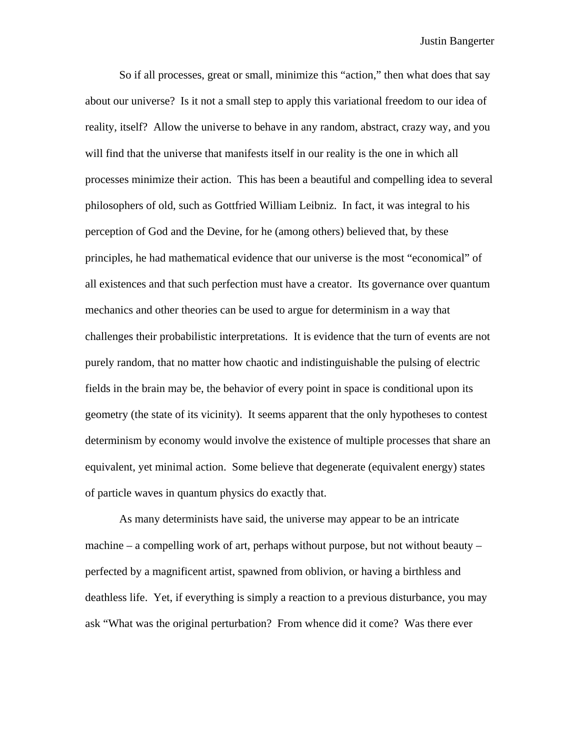So if all processes, great or small, minimize this "action," then what does that say about our universe? Is it not a small step to apply this variational freedom to our idea of reality, itself? Allow the universe to behave in any random, abstract, crazy way, and you will find that the universe that manifests itself in our reality is the one in which all processes minimize their action. This has been a beautiful and compelling idea to several philosophers of old, such as Gottfried William Leibniz. In fact, it was integral to his perception of God and the Devine, for he (among others) believed that, by these principles, he had mathematical evidence that our universe is the most "economical" of all existences and that such perfection must have a creator. Its governance over quantum mechanics and other theories can be used to argue for determinism in a way that challenges their probabilistic interpretations. It is evidence that the turn of events are not purely random, that no matter how chaotic and indistinguishable the pulsing of electric fields in the brain may be, the behavior of every point in space is conditional upon its geometry (the state of its vicinity). It seems apparent that the only hypotheses to contest determinism by economy would involve the existence of multiple processes that share an equivalent, yet minimal action. Some believe that degenerate (equivalent energy) states of particle waves in quantum physics do exactly that.

 As many determinists have said, the universe may appear to be an intricate machine – a compelling work of art, perhaps without purpose, but not without beauty – perfected by a magnificent artist, spawned from oblivion, or having a birthless and deathless life. Yet, if everything is simply a reaction to a previous disturbance, you may ask "What was the original perturbation? From whence did it come? Was there ever